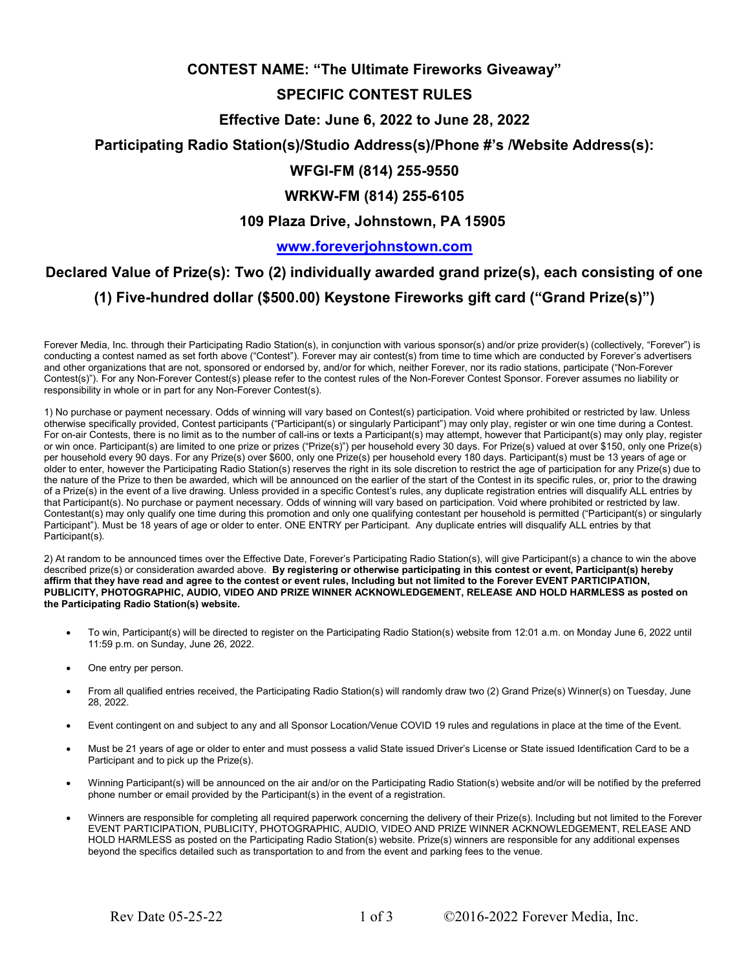# CONTEST NAME: "The Ultimate Fireworks Giveaway"

# SPECIFIC CONTEST RULES

## Effective Date: June 6, 2022 to June 28, 2022

## Participating Radio Station(s)/Studio Address(s)/Phone #'s /Website Address(s):

# WFGI-FM (814) 255-9550

## WRKW-FM (814) 255-6105

#### 109 Plaza Drive, Johnstown, PA 15905

#### www.foreverjohnstown.com

# Declared Value of Prize(s): Two (2) individually awarded grand prize(s), each consisting of one (1) Five-hundred dollar (\$500.00) Keystone Fireworks gift card ("Grand Prize(s)")

Forever Media, Inc. through their Participating Radio Station(s), in conjunction with various sponsor(s) and/or prize provider(s) (collectively, "Forever") is conducting a contest named as set forth above ("Contest"). Forever may air contest(s) from time to time which are conducted by Forever's advertisers and other organizations that are not, sponsored or endorsed by, and/or for which, neither Forever, nor its radio stations, participate ("Non-Forever Contest(s)"). For any Non-Forever Contest(s) please refer to the contest rules of the Non-Forever Contest Sponsor. Forever assumes no liability or responsibility in whole or in part for any Non-Forever Contest(s).

1) No purchase or payment necessary. Odds of winning will vary based on Contest(s) participation. Void where prohibited or restricted by law. Unless otherwise specifically provided, Contest participants ("Participant(s) or singularly Participant") may only play, register or win one time during a Contest. For on-air Contests, there is no limit as to the number of call-ins or texts a Participant(s) may attempt, however that Participant(s) may only play, register or win once. Participant(s) are limited to one prize or prizes ("Prize(s)") per household every 30 days. For Prize(s) valued at over \$150, only one Prize(s) per household every 90 days. For any Prize(s) over \$600, only one Prize(s) per household every 180 days. Participant(s) must be 13 years of age or older to enter, however the Participating Radio Station(s) reserves the right in its sole discretion to restrict the age of participation for any Prize(s) due to the nature of the Prize to then be awarded, which will be announced on the earlier of the start of the Contest in its specific rules, or, prior to the drawing of a Prize(s) in the event of a live drawing. Unless provided in a specific Contest's rules, any duplicate registration entries will disqualify ALL entries by that Participant(s). No purchase or payment necessary. Odds of winning will vary based on participation. Void where prohibited or restricted by law. Contestant(s) may only qualify one time during this promotion and only one qualifying contestant per household is permitted ("Participant(s) or singularly Participant"). Must be 18 years of age or older to enter. ONE ENTRY per Participant. Any duplicate entries will disqualify ALL entries by that Participant(s).

2) At random to be announced times over the Effective Date, Forever's Participating Radio Station(s), will give Participant(s) a chance to win the above described prize(s) or consideration awarded above. By registering or otherwise participating in this contest or event, Participant(s) hereby affirm that they have read and agree to the contest or event rules, Including but not limited to the Forever EVENT PARTICIPATION, PUBLICITY, PHOTOGRAPHIC, AUDIO, VIDEO AND PRIZE WINNER ACKNOWLEDGEMENT, RELEASE AND HOLD HARMLESS as posted on the Participating Radio Station(s) website.

- To win, Participant(s) will be directed to register on the Participating Radio Station(s) website from 12:01 a.m. on Monday June 6, 2022 until 11:59 p.m. on Sunday, June 26, 2022.
- One entry per person.
- From all qualified entries received, the Participating Radio Station(s) will randomly draw two (2) Grand Prize(s) Winner(s) on Tuesday, June 28, 2022.
- Event contingent on and subject to any and all Sponsor Location/Venue COVID 19 rules and regulations in place at the time of the Event.
- Must be 21 years of age or older to enter and must possess a valid State issued Driver's License or State issued Identification Card to be a Participant and to pick up the Prize(s).
- Winning Participant(s) will be announced on the air and/or on the Participating Radio Station(s) website and/or will be notified by the preferred phone number or email provided by the Participant(s) in the event of a registration.
- Winners are responsible for completing all required paperwork concerning the delivery of their Prize(s). Including but not limited to the Forever EVENT PARTICIPATION, PUBLICITY, PHOTOGRAPHIC, AUDIO, VIDEO AND PRIZE WINNER ACKNOWLEDGEMENT, RELEASE AND HOLD HARMLESS as posted on the Participating Radio Station(s) website. Prize(s) winners are responsible for any additional expenses beyond the specifics detailed such as transportation to and from the event and parking fees to the venue.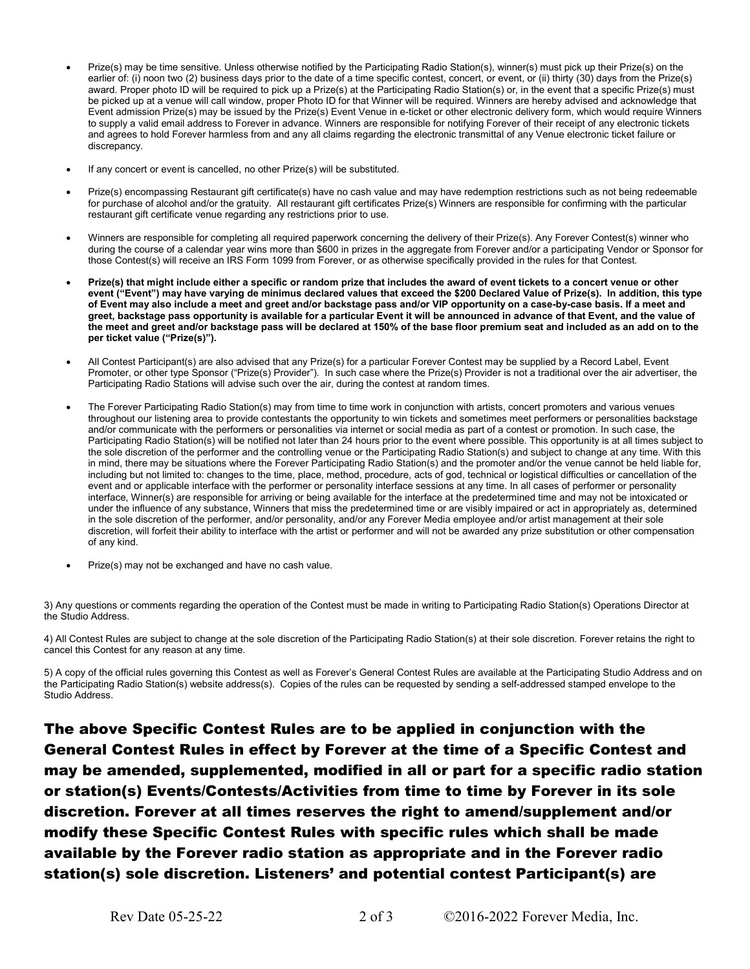- Prize(s) may be time sensitive. Unless otherwise notified by the Participating Radio Station(s), winner(s) must pick up their Prize(s) on the earlier of: (i) noon two (2) business days prior to the date of a time specific contest, concert, or event, or (ii) thirty (30) days from the Prize(s) award. Proper photo ID will be required to pick up a Prize(s) at the Participating Radio Station(s) or, in the event that a specific Prize(s) must be picked up at a venue will call window, proper Photo ID for that Winner will be required. Winners are hereby advised and acknowledge that Event admission Prize(s) may be issued by the Prize(s) Event Venue in e-ticket or other electronic delivery form, which would require Winners to supply a valid email address to Forever in advance. Winners are responsible for notifying Forever of their receipt of any electronic tickets and agrees to hold Forever harmless from and any all claims regarding the electronic transmittal of any Venue electronic ticket failure or discrepancy.
- If any concert or event is cancelled, no other Prize(s) will be substituted.
- Prize(s) encompassing Restaurant gift certificate(s) have no cash value and may have redemption restrictions such as not being redeemable for purchase of alcohol and/or the gratuity. All restaurant gift certificates Prize(s) Winners are responsible for confirming with the particular restaurant gift certificate venue regarding any restrictions prior to use.
- Winners are responsible for completing all required paperwork concerning the delivery of their Prize(s). Any Forever Contest(s) winner who during the course of a calendar year wins more than \$600 in prizes in the aggregate from Forever and/or a participating Vendor or Sponsor for those Contest(s) will receive an IRS Form 1099 from Forever, or as otherwise specifically provided in the rules for that Contest.
- Prize(s) that might include either a specific or random prize that includes the award of event tickets to a concert venue or other event ("Event") may have varying de minimus declared values that exceed the \$200 Declared Value of Prize(s). In addition, this type of Event may also include a meet and greet and/or backstage pass and/or VIP opportunity on a case-by-case basis. If a meet and greet, backstage pass opportunity is available for a particular Event it will be announced in advance of that Event, and the value of the meet and greet and/or backstage pass will be declared at 150% of the base floor premium seat and included as an add on to the per ticket value ("Prize(s)").
- All Contest Participant(s) are also advised that any Prize(s) for a particular Forever Contest may be supplied by a Record Label, Event Promoter, or other type Sponsor ("Prize(s) Provider"). In such case where the Prize(s) Provider is not a traditional over the air advertiser, the Participating Radio Stations will advise such over the air, during the contest at random times.
- The Forever Participating Radio Station(s) may from time to time work in conjunction with artists, concert promoters and various venues throughout our listening area to provide contestants the opportunity to win tickets and sometimes meet performers or personalities backstage and/or communicate with the performers or personalities via internet or social media as part of a contest or promotion. In such case, the Participating Radio Station(s) will be notified not later than 24 hours prior to the event where possible. This opportunity is at all times subject to the sole discretion of the performer and the controlling venue or the Participating Radio Station(s) and subject to change at any time. With this in mind, there may be situations where the Forever Participating Radio Station(s) and the promoter and/or the venue cannot be held liable for, including but not limited to: changes to the time, place, method, procedure, acts of god, technical or logistical difficulties or cancellation of the event and or applicable interface with the performer or personality interface sessions at any time. In all cases of performer or personality interface, Winner(s) are responsible for arriving or being available for the interface at the predetermined time and may not be intoxicated or under the influence of any substance, Winners that miss the predetermined time or are visibly impaired or act in appropriately as, determined in the sole discretion of the performer, and/or personality, and/or any Forever Media employee and/or artist management at their sole discretion, will forfeit their ability to interface with the artist or performer and will not be awarded any prize substitution or other compensation of any kind.
- Prize(s) may not be exchanged and have no cash value.

3) Any questions or comments regarding the operation of the Contest must be made in writing to Participating Radio Station(s) Operations Director at the Studio Address.

4) All Contest Rules are subject to change at the sole discretion of the Participating Radio Station(s) at their sole discretion. Forever retains the right to cancel this Contest for any reason at any time.

5) A copy of the official rules governing this Contest as well as Forever's General Contest Rules are available at the Participating Studio Address and on the Participating Radio Station(s) website address(s). Copies of the rules can be requested by sending a self-addressed stamped envelope to the Studio Address.

The above Specific Contest Rules are to be applied in conjunction with the General Contest Rules in effect by Forever at the time of a Specific Contest and may be amended, supplemented, modified in all or part for a specific radio station or station(s) Events/Contests/Activities from time to time by Forever in its sole discretion. Forever at all times reserves the right to amend/supplement and/or modify these Specific Contest Rules with specific rules which shall be made available by the Forever radio station as appropriate and in the Forever radio station(s) sole discretion. Listeners' and potential contest Participant(s) are